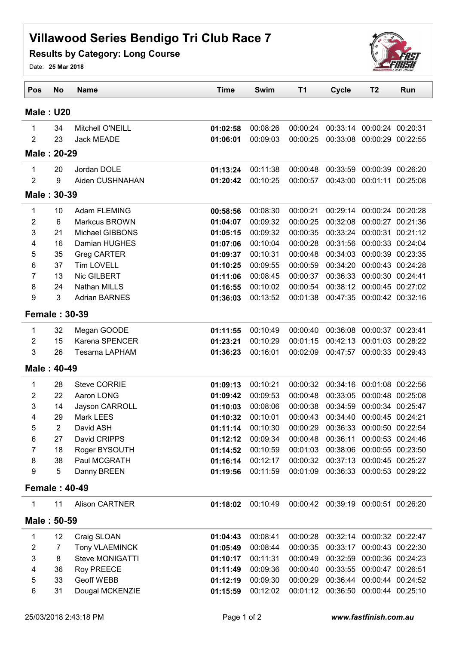## Villawood Series Bendigo Tri Club Race 7

Results by Category: Long Course



Date: 25 Mar 2018

| <b>Male: U20</b><br>00:08:26<br>34<br>Mitchell O'NEILL<br>01:02:58<br>00:00:24<br>00:33:14 00:00:24 00:20:31<br>1<br>$\overline{2}$<br>23<br>Jack MEADE<br>00:09:03<br>00:33:08<br>01:06:01<br>00:00:25<br>00:00:29 00:22:55<br>Male: 20-29<br>20<br>Jordan DOLE<br>00:11:38<br>1<br>01:13:24<br>00:00:48<br>00:33:59<br>00:00:39 00:26:20<br>$\overline{2}$<br>9<br>Aiden CUSHNAHAN<br>00:10:25<br>00:43:00<br>00:01:11 00:25:08<br>01:20:42<br>00:00:57<br>Male: 30-39<br>00:00:21<br>10<br>Adam FLEMING<br>00:58:56<br>00:08:30<br>00:29:14<br>00:00:24 00:20:28<br>1<br>2<br>$\,6$<br>Markcus BROWN<br>00:09:32<br>00:00:25<br>00:32:08<br>01:04:07<br>00:00:27 00:21:36<br>3<br><b>Michael GIBBONS</b><br>00:00:35<br>00:33:24<br>21<br>01:05:15<br>00:09:32<br>00:00:31<br>16<br>00:10:04<br>00:00:28<br>00:31:56<br>00:00:33 00:24:04<br>4<br>Damian HUGHES<br>01:07:06<br>5<br>35<br>00:00:48<br>00:34:03 00:00:39 00:23:35<br>Greg CARTER<br>01:09:37<br>00:10:31<br><b>Tim LOVELL</b><br>6<br>37<br>00:09:55<br>00:00:59<br>00:34:20<br>00:00:43 00:24:28<br>01:10:25<br>13<br>Nic GILBERT<br>$\overline{7}$<br>00:08:45<br>00:00:37<br>00:36:33<br>00:00:30 00:24:41<br>01:11:06<br>8<br>24<br>00:38:12 00:00:45 00:27:02<br><b>Nathan MILLS</b><br>01:16:55<br>00:10:02<br>00:00:54<br>9<br>3<br><b>Adrian BARNES</b><br>00:13:52<br>00:47:35<br>00:00:42 00:32:16<br>01:36:03<br>00:01:38<br><b>Female: 30-39</b><br>00:10:49<br>00:00:40<br>32<br>Megan GOODE<br>01:11:55<br>00:36:08<br>00:00:37 00:23:41<br>1<br>$\overline{2}$<br>15<br>Karena SPENCER<br>00:10:29<br>00:01:15<br>00:42:13<br>00:01:03 00:28:22<br>01:23:21<br>3<br>26<br>00:00:33 00:29:43<br><b>Tesarna LAPHAM</b><br>01:36:23<br>00:16:01<br>00:02:09<br>00:47:57<br>Male: 40-49<br><b>Steve CORRIE</b><br>00:10:21<br>28<br>01:09:13<br>00:00:32<br>00:34:16<br>00:01:08 00:22:56<br>1<br>22<br>Aaron LONG<br>00:00:48<br>00:33:05<br>2<br>01:09:42<br>00:09:53<br>00:00:48 00:25:08<br>3<br>14<br>Jayson CARROLL<br>00:08:06<br>01:10:03<br>00:00:38<br>00:34:59<br>00:00:34 00:25:47<br>4<br>29<br>Mark LEES<br>00:10:01<br>00:34:40<br>00:00:45 00:24:21<br>01:10:32<br>00:00:43<br>5<br>$\overline{2}$<br>00:00:29 00:36:33 00:00:50 00:22:54<br>00:10:30<br>David ASH<br>01:11:14<br>6<br>David CRIPPS<br>00:09:34<br>00:00:48<br>00:36:11 00:00:53 00:24:46<br>27<br>01:12:12<br>7<br>18<br>Roger BYSOUTH<br>00:10:59<br>00:01:03<br>00:38:06 00:00:55 00:23:50<br>01:14:52<br>8<br>38<br>Paul MCGRATH<br>01:16:14<br>00:12:17<br>00:00:32<br>00:37:13 00:00:45 00:25:27<br>9<br>5<br>Danny BREEN<br>01:19:56<br>00:11:59<br>00:01:09<br>00:36:33 00:00:53 00:29:22<br><b>Female: 40-49</b><br>Alison CARTNER<br>1<br>11<br>01:18:02<br>00:10:49<br>00:00:42 00:39:19 00:00:51 00:26:20<br>Male: 50-59<br>Craig SLOAN<br>00:08:41<br>00:00:28<br>00:32:14 00:00:32 00:22:47<br>1<br>12<br>01:04:43<br>$\overline{7}$<br>00:00:35<br>2<br><b>Tony VLAEMINCK</b><br>01:05:49<br>00:08:44<br>00:33:17 00:00:43 00:22:30<br>3<br>Steve MONIGATTI<br>8<br>00:11:31<br>00:00:49<br>00:32:59 00:00:36 00:24:23<br>01:10:17<br>Roy PREECE<br>00:00:40<br>00:00:47 00:26:51<br>4<br>36<br>00:09:36<br>00:33:55<br>01:11:49 | Pos | <b>No</b> | <b>Name</b> | <b>Time</b> | <b>Swim</b> | T <sub>1</sub> | <b>Cycle</b> | T <sub>2</sub> | Run      |  |  |
|--------------------------------------------------------------------------------------------------------------------------------------------------------------------------------------------------------------------------------------------------------------------------------------------------------------------------------------------------------------------------------------------------------------------------------------------------------------------------------------------------------------------------------------------------------------------------------------------------------------------------------------------------------------------------------------------------------------------------------------------------------------------------------------------------------------------------------------------------------------------------------------------------------------------------------------------------------------------------------------------------------------------------------------------------------------------------------------------------------------------------------------------------------------------------------------------------------------------------------------------------------------------------------------------------------------------------------------------------------------------------------------------------------------------------------------------------------------------------------------------------------------------------------------------------------------------------------------------------------------------------------------------------------------------------------------------------------------------------------------------------------------------------------------------------------------------------------------------------------------------------------------------------------------------------------------------------------------------------------------------------------------------------------------------------------------------------------------------------------------------------------------------------------------------------------------------------------------------------------------------------------------------------------------------------------------------------------------------------------------------------------------------------------------------------------------------------------------------------------------------------------------------------------------------------------------------------------------------------------------------------------------------------------------------------------------------------------------------------------------------------------------------------------------------------------------------------------------------------------------------------------------------------------------------------------------------------------------------------------------------------------------------------------------------------------------------------------------------------------------------------------------------------------------------------------------------------------------|-----|-----------|-------------|-------------|-------------|----------------|--------------|----------------|----------|--|--|
|                                                                                                                                                                                                                                                                                                                                                                                                                                                                                                                                                                                                                                                                                                                                                                                                                                                                                                                                                                                                                                                                                                                                                                                                                                                                                                                                                                                                                                                                                                                                                                                                                                                                                                                                                                                                                                                                                                                                                                                                                                                                                                                                                                                                                                                                                                                                                                                                                                                                                                                                                                                                                                                                                                                                                                                                                                                                                                                                                                                                                                                                                                                                                                                                              |     |           |             |             |             |                |              |                |          |  |  |
|                                                                                                                                                                                                                                                                                                                                                                                                                                                                                                                                                                                                                                                                                                                                                                                                                                                                                                                                                                                                                                                                                                                                                                                                                                                                                                                                                                                                                                                                                                                                                                                                                                                                                                                                                                                                                                                                                                                                                                                                                                                                                                                                                                                                                                                                                                                                                                                                                                                                                                                                                                                                                                                                                                                                                                                                                                                                                                                                                                                                                                                                                                                                                                                                              |     |           |             |             |             |                |              |                |          |  |  |
|                                                                                                                                                                                                                                                                                                                                                                                                                                                                                                                                                                                                                                                                                                                                                                                                                                                                                                                                                                                                                                                                                                                                                                                                                                                                                                                                                                                                                                                                                                                                                                                                                                                                                                                                                                                                                                                                                                                                                                                                                                                                                                                                                                                                                                                                                                                                                                                                                                                                                                                                                                                                                                                                                                                                                                                                                                                                                                                                                                                                                                                                                                                                                                                                              |     |           |             |             |             |                |              |                |          |  |  |
|                                                                                                                                                                                                                                                                                                                                                                                                                                                                                                                                                                                                                                                                                                                                                                                                                                                                                                                                                                                                                                                                                                                                                                                                                                                                                                                                                                                                                                                                                                                                                                                                                                                                                                                                                                                                                                                                                                                                                                                                                                                                                                                                                                                                                                                                                                                                                                                                                                                                                                                                                                                                                                                                                                                                                                                                                                                                                                                                                                                                                                                                                                                                                                                                              |     |           |             |             |             |                |              |                |          |  |  |
|                                                                                                                                                                                                                                                                                                                                                                                                                                                                                                                                                                                                                                                                                                                                                                                                                                                                                                                                                                                                                                                                                                                                                                                                                                                                                                                                                                                                                                                                                                                                                                                                                                                                                                                                                                                                                                                                                                                                                                                                                                                                                                                                                                                                                                                                                                                                                                                                                                                                                                                                                                                                                                                                                                                                                                                                                                                                                                                                                                                                                                                                                                                                                                                                              |     |           |             |             |             |                |              |                |          |  |  |
|                                                                                                                                                                                                                                                                                                                                                                                                                                                                                                                                                                                                                                                                                                                                                                                                                                                                                                                                                                                                                                                                                                                                                                                                                                                                                                                                                                                                                                                                                                                                                                                                                                                                                                                                                                                                                                                                                                                                                                                                                                                                                                                                                                                                                                                                                                                                                                                                                                                                                                                                                                                                                                                                                                                                                                                                                                                                                                                                                                                                                                                                                                                                                                                                              |     |           |             |             |             |                |              |                |          |  |  |
|                                                                                                                                                                                                                                                                                                                                                                                                                                                                                                                                                                                                                                                                                                                                                                                                                                                                                                                                                                                                                                                                                                                                                                                                                                                                                                                                                                                                                                                                                                                                                                                                                                                                                                                                                                                                                                                                                                                                                                                                                                                                                                                                                                                                                                                                                                                                                                                                                                                                                                                                                                                                                                                                                                                                                                                                                                                                                                                                                                                                                                                                                                                                                                                                              |     |           |             |             |             |                |              |                |          |  |  |
|                                                                                                                                                                                                                                                                                                                                                                                                                                                                                                                                                                                                                                                                                                                                                                                                                                                                                                                                                                                                                                                                                                                                                                                                                                                                                                                                                                                                                                                                                                                                                                                                                                                                                                                                                                                                                                                                                                                                                                                                                                                                                                                                                                                                                                                                                                                                                                                                                                                                                                                                                                                                                                                                                                                                                                                                                                                                                                                                                                                                                                                                                                                                                                                                              |     |           |             |             |             |                |              |                |          |  |  |
|                                                                                                                                                                                                                                                                                                                                                                                                                                                                                                                                                                                                                                                                                                                                                                                                                                                                                                                                                                                                                                                                                                                                                                                                                                                                                                                                                                                                                                                                                                                                                                                                                                                                                                                                                                                                                                                                                                                                                                                                                                                                                                                                                                                                                                                                                                                                                                                                                                                                                                                                                                                                                                                                                                                                                                                                                                                                                                                                                                                                                                                                                                                                                                                                              |     |           |             |             |             |                |              |                |          |  |  |
|                                                                                                                                                                                                                                                                                                                                                                                                                                                                                                                                                                                                                                                                                                                                                                                                                                                                                                                                                                                                                                                                                                                                                                                                                                                                                                                                                                                                                                                                                                                                                                                                                                                                                                                                                                                                                                                                                                                                                                                                                                                                                                                                                                                                                                                                                                                                                                                                                                                                                                                                                                                                                                                                                                                                                                                                                                                                                                                                                                                                                                                                                                                                                                                                              |     |           |             |             |             |                |              |                | 00:21:12 |  |  |
|                                                                                                                                                                                                                                                                                                                                                                                                                                                                                                                                                                                                                                                                                                                                                                                                                                                                                                                                                                                                                                                                                                                                                                                                                                                                                                                                                                                                                                                                                                                                                                                                                                                                                                                                                                                                                                                                                                                                                                                                                                                                                                                                                                                                                                                                                                                                                                                                                                                                                                                                                                                                                                                                                                                                                                                                                                                                                                                                                                                                                                                                                                                                                                                                              |     |           |             |             |             |                |              |                |          |  |  |
|                                                                                                                                                                                                                                                                                                                                                                                                                                                                                                                                                                                                                                                                                                                                                                                                                                                                                                                                                                                                                                                                                                                                                                                                                                                                                                                                                                                                                                                                                                                                                                                                                                                                                                                                                                                                                                                                                                                                                                                                                                                                                                                                                                                                                                                                                                                                                                                                                                                                                                                                                                                                                                                                                                                                                                                                                                                                                                                                                                                                                                                                                                                                                                                                              |     |           |             |             |             |                |              |                |          |  |  |
|                                                                                                                                                                                                                                                                                                                                                                                                                                                                                                                                                                                                                                                                                                                                                                                                                                                                                                                                                                                                                                                                                                                                                                                                                                                                                                                                                                                                                                                                                                                                                                                                                                                                                                                                                                                                                                                                                                                                                                                                                                                                                                                                                                                                                                                                                                                                                                                                                                                                                                                                                                                                                                                                                                                                                                                                                                                                                                                                                                                                                                                                                                                                                                                                              |     |           |             |             |             |                |              |                |          |  |  |
|                                                                                                                                                                                                                                                                                                                                                                                                                                                                                                                                                                                                                                                                                                                                                                                                                                                                                                                                                                                                                                                                                                                                                                                                                                                                                                                                                                                                                                                                                                                                                                                                                                                                                                                                                                                                                                                                                                                                                                                                                                                                                                                                                                                                                                                                                                                                                                                                                                                                                                                                                                                                                                                                                                                                                                                                                                                                                                                                                                                                                                                                                                                                                                                                              |     |           |             |             |             |                |              |                |          |  |  |
|                                                                                                                                                                                                                                                                                                                                                                                                                                                                                                                                                                                                                                                                                                                                                                                                                                                                                                                                                                                                                                                                                                                                                                                                                                                                                                                                                                                                                                                                                                                                                                                                                                                                                                                                                                                                                                                                                                                                                                                                                                                                                                                                                                                                                                                                                                                                                                                                                                                                                                                                                                                                                                                                                                                                                                                                                                                                                                                                                                                                                                                                                                                                                                                                              |     |           |             |             |             |                |              |                |          |  |  |
|                                                                                                                                                                                                                                                                                                                                                                                                                                                                                                                                                                                                                                                                                                                                                                                                                                                                                                                                                                                                                                                                                                                                                                                                                                                                                                                                                                                                                                                                                                                                                                                                                                                                                                                                                                                                                                                                                                                                                                                                                                                                                                                                                                                                                                                                                                                                                                                                                                                                                                                                                                                                                                                                                                                                                                                                                                                                                                                                                                                                                                                                                                                                                                                                              |     |           |             |             |             |                |              |                |          |  |  |
|                                                                                                                                                                                                                                                                                                                                                                                                                                                                                                                                                                                                                                                                                                                                                                                                                                                                                                                                                                                                                                                                                                                                                                                                                                                                                                                                                                                                                                                                                                                                                                                                                                                                                                                                                                                                                                                                                                                                                                                                                                                                                                                                                                                                                                                                                                                                                                                                                                                                                                                                                                                                                                                                                                                                                                                                                                                                                                                                                                                                                                                                                                                                                                                                              |     |           |             |             |             |                |              |                |          |  |  |
|                                                                                                                                                                                                                                                                                                                                                                                                                                                                                                                                                                                                                                                                                                                                                                                                                                                                                                                                                                                                                                                                                                                                                                                                                                                                                                                                                                                                                                                                                                                                                                                                                                                                                                                                                                                                                                                                                                                                                                                                                                                                                                                                                                                                                                                                                                                                                                                                                                                                                                                                                                                                                                                                                                                                                                                                                                                                                                                                                                                                                                                                                                                                                                                                              |     |           |             |             |             |                |              |                |          |  |  |
|                                                                                                                                                                                                                                                                                                                                                                                                                                                                                                                                                                                                                                                                                                                                                                                                                                                                                                                                                                                                                                                                                                                                                                                                                                                                                                                                                                                                                                                                                                                                                                                                                                                                                                                                                                                                                                                                                                                                                                                                                                                                                                                                                                                                                                                                                                                                                                                                                                                                                                                                                                                                                                                                                                                                                                                                                                                                                                                                                                                                                                                                                                                                                                                                              |     |           |             |             |             |                |              |                |          |  |  |
|                                                                                                                                                                                                                                                                                                                                                                                                                                                                                                                                                                                                                                                                                                                                                                                                                                                                                                                                                                                                                                                                                                                                                                                                                                                                                                                                                                                                                                                                                                                                                                                                                                                                                                                                                                                                                                                                                                                                                                                                                                                                                                                                                                                                                                                                                                                                                                                                                                                                                                                                                                                                                                                                                                                                                                                                                                                                                                                                                                                                                                                                                                                                                                                                              |     |           |             |             |             |                |              |                |          |  |  |
|                                                                                                                                                                                                                                                                                                                                                                                                                                                                                                                                                                                                                                                                                                                                                                                                                                                                                                                                                                                                                                                                                                                                                                                                                                                                                                                                                                                                                                                                                                                                                                                                                                                                                                                                                                                                                                                                                                                                                                                                                                                                                                                                                                                                                                                                                                                                                                                                                                                                                                                                                                                                                                                                                                                                                                                                                                                                                                                                                                                                                                                                                                                                                                                                              |     |           |             |             |             |                |              |                |          |  |  |
|                                                                                                                                                                                                                                                                                                                                                                                                                                                                                                                                                                                                                                                                                                                                                                                                                                                                                                                                                                                                                                                                                                                                                                                                                                                                                                                                                                                                                                                                                                                                                                                                                                                                                                                                                                                                                                                                                                                                                                                                                                                                                                                                                                                                                                                                                                                                                                                                                                                                                                                                                                                                                                                                                                                                                                                                                                                                                                                                                                                                                                                                                                                                                                                                              |     |           |             |             |             |                |              |                |          |  |  |
|                                                                                                                                                                                                                                                                                                                                                                                                                                                                                                                                                                                                                                                                                                                                                                                                                                                                                                                                                                                                                                                                                                                                                                                                                                                                                                                                                                                                                                                                                                                                                                                                                                                                                                                                                                                                                                                                                                                                                                                                                                                                                                                                                                                                                                                                                                                                                                                                                                                                                                                                                                                                                                                                                                                                                                                                                                                                                                                                                                                                                                                                                                                                                                                                              |     |           |             |             |             |                |              |                |          |  |  |
|                                                                                                                                                                                                                                                                                                                                                                                                                                                                                                                                                                                                                                                                                                                                                                                                                                                                                                                                                                                                                                                                                                                                                                                                                                                                                                                                                                                                                                                                                                                                                                                                                                                                                                                                                                                                                                                                                                                                                                                                                                                                                                                                                                                                                                                                                                                                                                                                                                                                                                                                                                                                                                                                                                                                                                                                                                                                                                                                                                                                                                                                                                                                                                                                              |     |           |             |             |             |                |              |                |          |  |  |
|                                                                                                                                                                                                                                                                                                                                                                                                                                                                                                                                                                                                                                                                                                                                                                                                                                                                                                                                                                                                                                                                                                                                                                                                                                                                                                                                                                                                                                                                                                                                                                                                                                                                                                                                                                                                                                                                                                                                                                                                                                                                                                                                                                                                                                                                                                                                                                                                                                                                                                                                                                                                                                                                                                                                                                                                                                                                                                                                                                                                                                                                                                                                                                                                              |     |           |             |             |             |                |              |                |          |  |  |
|                                                                                                                                                                                                                                                                                                                                                                                                                                                                                                                                                                                                                                                                                                                                                                                                                                                                                                                                                                                                                                                                                                                                                                                                                                                                                                                                                                                                                                                                                                                                                                                                                                                                                                                                                                                                                                                                                                                                                                                                                                                                                                                                                                                                                                                                                                                                                                                                                                                                                                                                                                                                                                                                                                                                                                                                                                                                                                                                                                                                                                                                                                                                                                                                              |     |           |             |             |             |                |              |                |          |  |  |
|                                                                                                                                                                                                                                                                                                                                                                                                                                                                                                                                                                                                                                                                                                                                                                                                                                                                                                                                                                                                                                                                                                                                                                                                                                                                                                                                                                                                                                                                                                                                                                                                                                                                                                                                                                                                                                                                                                                                                                                                                                                                                                                                                                                                                                                                                                                                                                                                                                                                                                                                                                                                                                                                                                                                                                                                                                                                                                                                                                                                                                                                                                                                                                                                              |     |           |             |             |             |                |              |                |          |  |  |
|                                                                                                                                                                                                                                                                                                                                                                                                                                                                                                                                                                                                                                                                                                                                                                                                                                                                                                                                                                                                                                                                                                                                                                                                                                                                                                                                                                                                                                                                                                                                                                                                                                                                                                                                                                                                                                                                                                                                                                                                                                                                                                                                                                                                                                                                                                                                                                                                                                                                                                                                                                                                                                                                                                                                                                                                                                                                                                                                                                                                                                                                                                                                                                                                              |     |           |             |             |             |                |              |                |          |  |  |
|                                                                                                                                                                                                                                                                                                                                                                                                                                                                                                                                                                                                                                                                                                                                                                                                                                                                                                                                                                                                                                                                                                                                                                                                                                                                                                                                                                                                                                                                                                                                                                                                                                                                                                                                                                                                                                                                                                                                                                                                                                                                                                                                                                                                                                                                                                                                                                                                                                                                                                                                                                                                                                                                                                                                                                                                                                                                                                                                                                                                                                                                                                                                                                                                              |     |           |             |             |             |                |              |                |          |  |  |
|                                                                                                                                                                                                                                                                                                                                                                                                                                                                                                                                                                                                                                                                                                                                                                                                                                                                                                                                                                                                                                                                                                                                                                                                                                                                                                                                                                                                                                                                                                                                                                                                                                                                                                                                                                                                                                                                                                                                                                                                                                                                                                                                                                                                                                                                                                                                                                                                                                                                                                                                                                                                                                                                                                                                                                                                                                                                                                                                                                                                                                                                                                                                                                                                              |     |           |             |             |             |                |              |                |          |  |  |
|                                                                                                                                                                                                                                                                                                                                                                                                                                                                                                                                                                                                                                                                                                                                                                                                                                                                                                                                                                                                                                                                                                                                                                                                                                                                                                                                                                                                                                                                                                                                                                                                                                                                                                                                                                                                                                                                                                                                                                                                                                                                                                                                                                                                                                                                                                                                                                                                                                                                                                                                                                                                                                                                                                                                                                                                                                                                                                                                                                                                                                                                                                                                                                                                              |     |           |             |             |             |                |              |                |          |  |  |
|                                                                                                                                                                                                                                                                                                                                                                                                                                                                                                                                                                                                                                                                                                                                                                                                                                                                                                                                                                                                                                                                                                                                                                                                                                                                                                                                                                                                                                                                                                                                                                                                                                                                                                                                                                                                                                                                                                                                                                                                                                                                                                                                                                                                                                                                                                                                                                                                                                                                                                                                                                                                                                                                                                                                                                                                                                                                                                                                                                                                                                                                                                                                                                                                              |     |           |             |             |             |                |              |                |          |  |  |
|                                                                                                                                                                                                                                                                                                                                                                                                                                                                                                                                                                                                                                                                                                                                                                                                                                                                                                                                                                                                                                                                                                                                                                                                                                                                                                                                                                                                                                                                                                                                                                                                                                                                                                                                                                                                                                                                                                                                                                                                                                                                                                                                                                                                                                                                                                                                                                                                                                                                                                                                                                                                                                                                                                                                                                                                                                                                                                                                                                                                                                                                                                                                                                                                              |     |           |             |             |             |                |              |                |          |  |  |
|                                                                                                                                                                                                                                                                                                                                                                                                                                                                                                                                                                                                                                                                                                                                                                                                                                                                                                                                                                                                                                                                                                                                                                                                                                                                                                                                                                                                                                                                                                                                                                                                                                                                                                                                                                                                                                                                                                                                                                                                                                                                                                                                                                                                                                                                                                                                                                                                                                                                                                                                                                                                                                                                                                                                                                                                                                                                                                                                                                                                                                                                                                                                                                                                              |     |           |             |             |             |                |              |                |          |  |  |
|                                                                                                                                                                                                                                                                                                                                                                                                                                                                                                                                                                                                                                                                                                                                                                                                                                                                                                                                                                                                                                                                                                                                                                                                                                                                                                                                                                                                                                                                                                                                                                                                                                                                                                                                                                                                                                                                                                                                                                                                                                                                                                                                                                                                                                                                                                                                                                                                                                                                                                                                                                                                                                                                                                                                                                                                                                                                                                                                                                                                                                                                                                                                                                                                              |     |           |             |             |             |                |              |                |          |  |  |
|                                                                                                                                                                                                                                                                                                                                                                                                                                                                                                                                                                                                                                                                                                                                                                                                                                                                                                                                                                                                                                                                                                                                                                                                                                                                                                                                                                                                                                                                                                                                                                                                                                                                                                                                                                                                                                                                                                                                                                                                                                                                                                                                                                                                                                                                                                                                                                                                                                                                                                                                                                                                                                                                                                                                                                                                                                                                                                                                                                                                                                                                                                                                                                                                              |     |           |             |             |             |                |              |                |          |  |  |
|                                                                                                                                                                                                                                                                                                                                                                                                                                                                                                                                                                                                                                                                                                                                                                                                                                                                                                                                                                                                                                                                                                                                                                                                                                                                                                                                                                                                                                                                                                                                                                                                                                                                                                                                                                                                                                                                                                                                                                                                                                                                                                                                                                                                                                                                                                                                                                                                                                                                                                                                                                                                                                                                                                                                                                                                                                                                                                                                                                                                                                                                                                                                                                                                              |     |           |             |             |             |                |              |                |          |  |  |
| 00:36:44 00:00:44 00:24:52                                                                                                                                                                                                                                                                                                                                                                                                                                                                                                                                                                                                                                                                                                                                                                                                                                                                                                                                                                                                                                                                                                                                                                                                                                                                                                                                                                                                                                                                                                                                                                                                                                                                                                                                                                                                                                                                                                                                                                                                                                                                                                                                                                                                                                                                                                                                                                                                                                                                                                                                                                                                                                                                                                                                                                                                                                                                                                                                                                                                                                                                                                                                                                                   | 5   | 33        | Geoff WEBB  | 01:12:19    | 00:09:30    | 00:00:29       |              |                |          |  |  |
| 6<br>31<br>Dougal MCKENZIE<br>00:36:50 00:00:44 00:25:10<br>00:12:02<br>00:01:12<br>01:15:59                                                                                                                                                                                                                                                                                                                                                                                                                                                                                                                                                                                                                                                                                                                                                                                                                                                                                                                                                                                                                                                                                                                                                                                                                                                                                                                                                                                                                                                                                                                                                                                                                                                                                                                                                                                                                                                                                                                                                                                                                                                                                                                                                                                                                                                                                                                                                                                                                                                                                                                                                                                                                                                                                                                                                                                                                                                                                                                                                                                                                                                                                                                 |     |           |             |             |             |                |              |                |          |  |  |